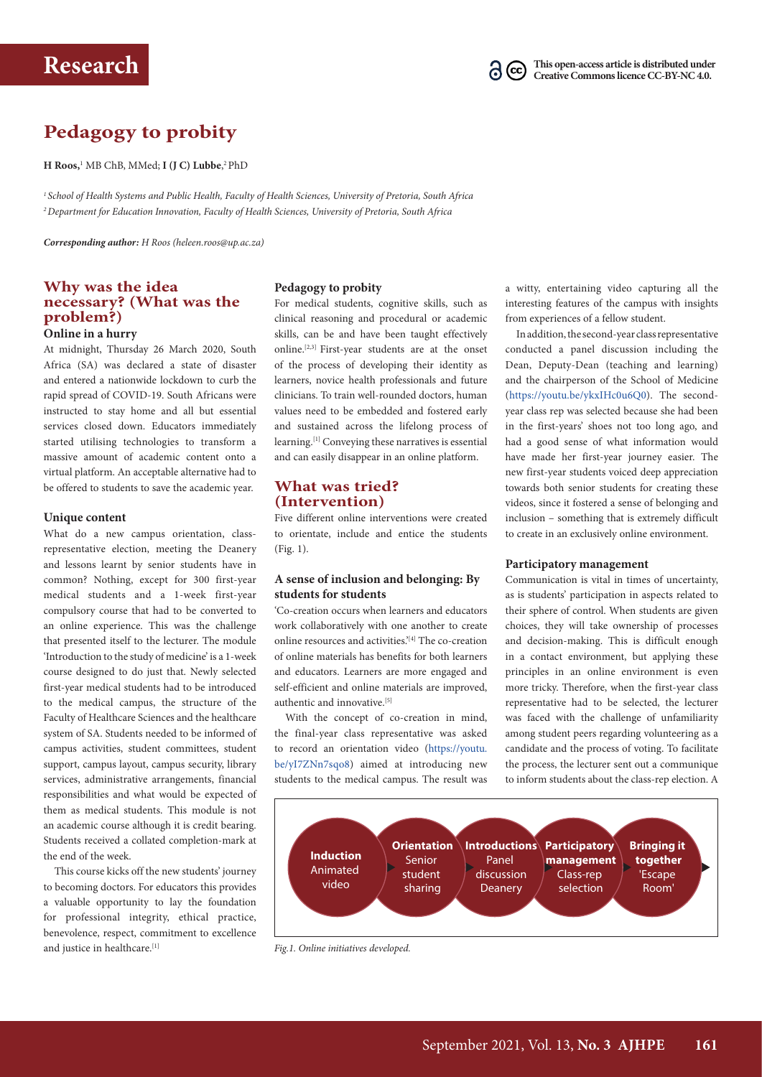

## **Pedagogy to probity**

**H Roos,**<sup>1</sup> MB ChB, MMed; **I (J C) Lubbe**, 2 PhD

*1 School of Health Systems and Public Health, Faculty of Health Sciences, University of Pretoria, South Africa 2 Department for Education Innovation, Faculty of Health Sciences, University of Pretoria, South Africa*

*Corresponding author: H Roos ([heleen.roos@up.ac.za\)](mailto:heleen.roos@up.ac.za)*

## **Why was the idea necessary? (What was the problem?)**

## **Online in a hurry**

At midnight, Thursday 26 March 2020, South Africa (SA) was declared a state of disaster and entered a nationwide lockdown to curb the rapid spread of COVID‑19. South Africans were instructed to stay home and all but essential services closed down. Educators immediately started utilising technologies to transform a massive amount of academic content onto a virtual platform. An acceptable alternative had to be offered to students to save the academic year.

### **Unique content**

What do a new campus orientation, classrepresentative election, meeting the Deanery and lessons learnt by senior students have in common? Nothing, except for 300 first-year medical students and a 1-week first-year compulsory course that had to be converted to an online experience. This was the challenge that presented itself to the lecturer. The module 'Introduction to the study of medicine' is a 1-week course designed to do just that. Newly selected first-year medical students had to be introduced to the medical campus, the structure of the Faculty of Healthcare Sciences and the healthcare system of SA. Students needed to be informed of campus activities, student committees, student support, campus layout, campus security, library services, administrative arrangements, financial responsibilities and what would be expected of them as medical students. This module is not an academic course although it is credit bearing. Students received a collated completion-mark at the end of the week.

This course kicks off the new students' journey to becoming doctors. For educators this provides a valuable opportunity to lay the foundation for professional integrity, ethical practice, benevolence, respect, commitment to excellence and justice in healthcare.<sup>[1]</sup>

### **Pedagogy to probity**

For medical students, cognitive skills, such as clinical reasoning and procedural or academic skills, can be and have been taught effectively online.[2,3] First-year students are at the onset of the process of developing their identity as learners, novice health professionals and future clinicians. To train well-rounded doctors, human values need to be embedded and fostered early and sustained across the lifelong process of learning.<sup>[1]</sup> Conveying these narratives is essential and can easily disappear in an online platform.

### **What was tried? (Intervention)**

Five different online interventions were created to orientate, include and entice the students (Fig. 1).

### **A sense of inclusion and belonging: By students for students**

'Co-creation occurs when learners and educators work collaboratively with one another to create online resources and activities.<sup>'[4]</sup> The co-creation of online materials has benefits for both learners and educators. Learners are more engaged and self-efficient and online materials are improved, authentic and innovative.<sup>[5]</sup>

With the concept of co-creation in mind, the final-year class representative was asked to record an orientation video ([https://youtu.](https://youtu.be/yI7ZNn7sqo8) [be/yI7ZNn7sqo8](https://youtu.be/yI7ZNn7sqo8)) aimed at introducing new students to the medical campus. The result was

a witty, entertaining video capturing all the interesting features of the campus with insights from experiences of a fellow student.

In addition, the second-year class representative conducted a panel discussion including the Dean, Deputy-Dean (teaching and learning) and the chairperson of the School of Medicine (<https://youtu.be/ykxIHc0u6Q0>). The secondyear class rep was selected because she had been in the first-years' shoes not too long ago, and had a good sense of what information would have made her first-year journey easier. The new first-year students voiced deep appreciation towards both senior students for creating these videos, since it fostered a sense of belonging and inclusion – something that is extremely difficult to create in an exclusively online environment.

#### **Participatory management**

Communication is vital in times of uncertainty, as is students' participation in aspects related to their sphere of control. When students are given choices, they will take ownership of processes and decision-making. This is difficult enough in a contact environment, but applying these principles in an online environment is even more tricky. Therefore, when the first-year class representative had to be selected, the lecturer was faced with the challenge of unfamiliarity among student peers regarding volunteering as a candidate and the process of voting. To facilitate the process, the lecturer sent out a communique to inform students about the class-rep election. A



*Fig.1. Online initiatives developed.*